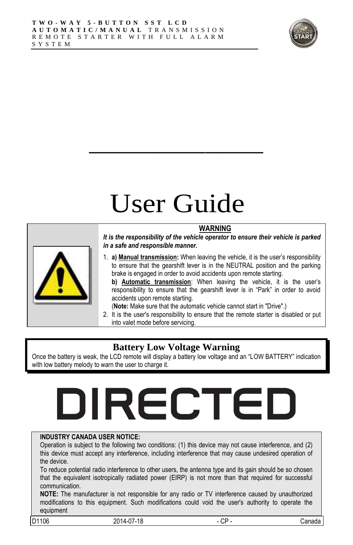

## User Guide

 $\overline{\phantom{a}}$  , where  $\overline{\phantom{a}}$ 



**WARNING** *It is the responsibility of the vehicle operator to ensure their vehicle is parked in a safe and responsible manner.*

1. **a) Manual transmission:** When leaving the vehicle, it is the user"s responsibility to ensure that the gearshift lever is in the NEUTRAL position and the parking brake is engaged in order to avoid accidents upon remote starting.

**b) Automatic transmission**: When leaving the vehicle, it is the user"s responsibility to ensure that the gearshift lever is in "Park" in order to avoid accidents upon remote starting.

- (**Note:** Make sure that the automatic vehicle cannot start in "Drive".)
- 2. It is the user's responsibility to ensure that the remote starter is disabled or put into valet mode before servicing.

#### **Battery Low Voltage Warning**

Once the battery is weak, the LCD remote will display a battery low voltage and an "LOW BATTERY" indication with low battery melody to warn the user to charge it.

# DIRECTED

#### **INDUSTRY CANADA USER NOTICE:**

Operation is subject to the following two conditions: (1) this device may not cause interference, and (2) this device must accept any interference, including interference that may cause undesired operation of the device.

To reduce potential radio interference to other users, the antenna type and its gain should be so chosen that the equivalent isotropically radiated power (EIRP) is not more than that required for successful communication.

**NOTE:** The manufacturer is not responsible for any radio or TV interference caused by unauthorized modifications to this equipment. Such modifications could void the user's authority to operate the equipment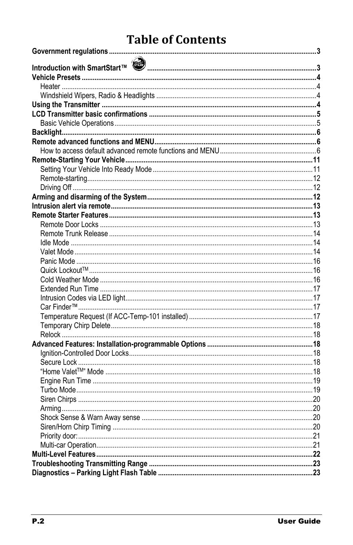## **Table of Contents**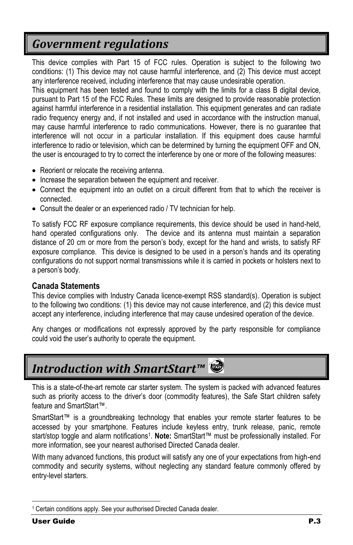## <span id="page-2-0"></span>*Government regulations*

This device complies with Part 15 of FCC rules. Operation is subject to the following two conditions: (1) This device may not cause harmful interference, and (2) This device must accept any interference received, including interference that may cause undesirable operation.

This equipment has been tested and found to comply with the limits for a class B digital device, pursuant to Part 15 of the FCC Rules. These limits are designed to provide reasonable protection against harmful interference in a residential installation. This equipment generates and can radiate radio frequency energy and, if not installed and used in accordance with the instruction manual, may cause harmful interference to radio communications. However, there is no guarantee that interference will not occur in a particular installation. If this equipment does cause harmful interference to radio or television, which can be determined by turning the equipment OFF and ON, the user is encouraged to try to correct the interference by one or more of the following measures:

- Reorient or relocate the receiving antenna.
- Increase the separation between the equipment and receiver.
- Connect the equipment into an outlet on a circuit different from that to which the receiver is connected.
- Consult the dealer or an experienced radio / TV technician for help.

To satisfy FCC RF exposure compliance requirements, this device should be used in hand-held, hand operated configurations only. The device and its antenna must maintain a separation distance of 20 cm or more from the person"s body, except for the hand and wrists, to satisfy RF exposure compliance. This device is designed to be used in a person"s hands and its operating configurations do not support normal transmissions while it is carried in pockets or holsters next to a person"s body.

#### **Canada Statements**

This device complies with Industry Canada licence-exempt RSS standard(s). Operation is subject to the following two conditions: (1) this device may not cause interference, and (2) this device must accept any interference, including interference that may cause undesired operation of the device.

Any changes or modifications not expressly approved by the party responsible for compliance could void the user"s authority to operate the equipment.

## <span id="page-2-1"></span>*Introduction with SmartStart™*

This is a state-of-the-art remote car starter system. The system is packed with advanced features such as priority access to the driver's door (commodity features), the Safe Start children safety feature and SmartStart™.

SmartStart™ is a groundbreaking technology that enables your remote starter features to be accessed by your smartphone. Features include keyless entry, trunk release, panic, remote start/stop toggle and alarm notifications<sup>1</sup>. Note: SmartStart™ must be professionally installed. For more information, see your nearest authorised Directed Canada dealer.

With many advanced functions, this product will satisfy any one of your expectations from high-end commodity and security systems, without neglecting any standard feature commonly offered by entry-level starters.

1

<sup>1</sup> Certain conditions apply. See your authorised Directed Canada dealer.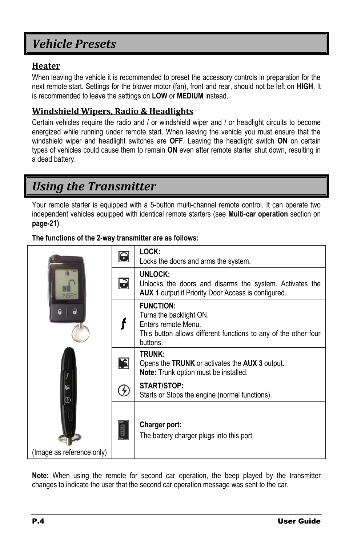## <span id="page-3-0"></span>*Vehicle Presets*

#### <span id="page-3-1"></span>**Heater**

When leaving the vehicle it is recommended to preset the accessory controls in preparation for the next remote start. Settings for the blower motor (fan), front and rear, should not be left on **HIGH**. It is recommended to leave the settings on **LOW** or **MEDIUM** instead.

#### <span id="page-3-2"></span>**Windshield Wipers, Radio & Headlights**

Certain vehicles require the radio and / or windshield wiper and / or headlight circuits to become energized while running under remote start. When leaving the vehicle you must ensure that the windshield wiper and headlight switches are **OFF**. Leaving the headlight switch **ON** on certain types of vehicles could cause them to remain **ON** even after remote starter shut down, resulting in a dead battery.

## <span id="page-3-3"></span>*Using the Transmitter*

Your remote starter is equipped with a 5-button multi-channel remote control. It can operate two independent vehicles equipped with identical remote starters (see **Multi-car operation** section on **pag[e-21\)](#page-20-1)**.

#### **The functions of the 2-way transmitter are as follows:**

|                           | 0         | LOCK:<br>Locks the doors and arms the system.                                                                                                     |  |  |  |  |
|---------------------------|-----------|---------------------------------------------------------------------------------------------------------------------------------------------------|--|--|--|--|
|                           | $\bullet$ | UNLOCK:<br>Unlocks the doors and disarms the system. Activates the<br><b>AUX 1</b> output if Priority Door Access is configured.                  |  |  |  |  |
| a<br>ណ                    |           | <b>FUNCTION:</b><br>Turns the backlight ON.<br>Enters remote Menu.<br>This button allows different functions to any of the other four<br>buttons. |  |  |  |  |
|                           | K         | TRUNK:<br>Opens the TRUNK or activates the AUX 3 output.<br><b>Note:</b> Trunk option must be installed.                                          |  |  |  |  |
| F.                        | £         | START/STOP:<br>Starts or Stops the engine (normal functions).                                                                                     |  |  |  |  |
| (Image as reference only) | GEEED     | Charger port:<br>The battery charger plugs into this port.                                                                                        |  |  |  |  |

**Note:** When using the remote for second car operation, the beep played by the transmitter changes to indicate the user that the second car operation message was sent to the car.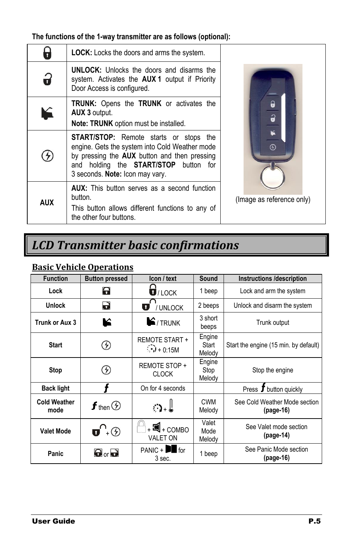#### **The functions of the 1-way transmitter are as follows (optional):**

|            | <b>LOCK:</b> Locks the doors and arms the system.                                                                                                                                                                                         |                           |  |  |
|------------|-------------------------------------------------------------------------------------------------------------------------------------------------------------------------------------------------------------------------------------------|---------------------------|--|--|
| 9          | <b>UNLOCK:</b> Unlocks the doors and disarms the<br>system. Activates the <b>AUX 1</b> output if Priority<br>Door Access is configured.                                                                                                   |                           |  |  |
| V          | <b>TRUNK:</b> Opens the <b>TRUNK</b> or activates the<br>AUX 3 output.<br>Note: TRUNK option must be installed.                                                                                                                           |                           |  |  |
|            | <b>START/STOP:</b> Remote starts or stops the<br>engine. Gets the system into Cold Weather mode<br>by pressing the <b>AUX</b> button and then pressing<br>and holding the <b>START/STOP</b> button for<br>3 seconds. Note: Icon may vary. | $\circledR$               |  |  |
| <b>AUX</b> | <b>AUX:</b> This button serves as a second function<br>button.<br>This button allows different functions to any of<br>the other four buttons.                                                                                             | (Image as reference only) |  |  |

## <span id="page-4-0"></span>*LCD Transmitter basic confirmations*

#### <span id="page-4-1"></span>**Basic Vehicle Operations**

| <b>Function</b>             | <b>Button pressed</b>                  | Icon / text                                     | Sound                     | <b>Instructions /description</b>             |
|-----------------------------|----------------------------------------|-------------------------------------------------|---------------------------|----------------------------------------------|
| Lock                        | 8                                      | $\overline{\mathbf{U}}$ /LOCK                   | 1 beep                    | Lock and arm the system                      |
| <b>Unlock</b>               | d                                      | <b>U</b> / UNLOCK                               | 2 beeps                   | Unlock and disarm the system                 |
| Trunk or Aux 3              | К                                      | $\mathbf{E}$ /TRUNK                             | 3 short<br>beeps          | Trunk output                                 |
| <b>Start</b>                | $\mathcal{F}$                          | <b>REMOTE START +</b><br>$\binom{1}{2}$ + 0.15M | Engine<br>Start<br>Melody | Start the engine (15 min. by default)        |
| <b>Stop</b>                 | $\left(  \right)$                      | REMOTE STOP +<br><b>CLOCK</b>                   | Engine<br>Stop<br>Melody  | Stop the engine                              |
| <b>Back light</b>           |                                        | On for 4 seconds                                |                           | Press <i>I</i> button quickly                |
| <b>Cold Weather</b><br>mode | $f$ then $\circledf$                   | ം ∥                                             | <b>CWM</b><br>Melody      | See Cold Weather Mode section<br>$(page-16)$ |
| <b>Valet Mode</b>           | $\mathbf{u}^{\Omega}$ + $\odot$        | $\mathbf{R}$ + COMBO<br><b>VALET ON</b>         | Valet<br>Mode<br>Melody   | See Valet mode section<br>$(page-14)$        |
| Panic                       | $\mathbf{\Theta}$ or $\mathbf{\Theta}$ | $PANIC +$ for<br>3 sec.                         | 1 beep                    | See Panic Mode section<br>$(page-16)$        |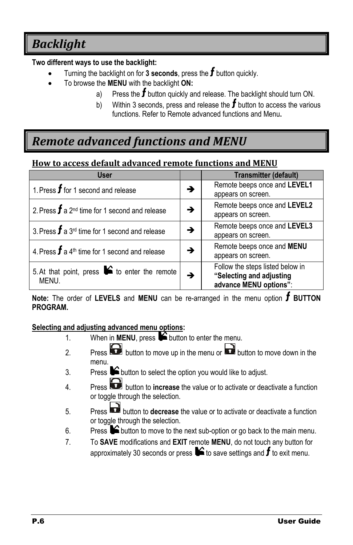## <span id="page-5-0"></span>*Backlight*

#### **Two different ways to use the backlight:**

- Turning the backlight on for 3 seconds, press the  $f$  button quickly.
- To browse the **MENU** with the backlight **ON:**
	- a) Press the  $f$  button quickly and release. The backlight should turn ON.
	- b) Within 3 seconds, press and release the  $f$  button to access the various functions. Refer to Remote advanced functions and Menu**.**

## <span id="page-5-1"></span>*Remote advanced functions and MENU*

#### <span id="page-5-2"></span>**How to access default advanced remote functions and MENU**

| <b>User</b>                                                    |               | <b>Transmitter (default)</b>                                                           |
|----------------------------------------------------------------|---------------|----------------------------------------------------------------------------------------|
| 1. Press $f$ for 1 second and release                          | →             | Remote beeps once and LEVEL1<br>appears on screen.                                     |
| 2. Press $f$ a 2 <sup>nd</sup> time for 1 second and release   | →             | Remote beeps once and LEVEL2<br>appears on screen.                                     |
| 3. Press $f$ a 3 <sup>rd</sup> time for 1 second and release   | →             | Remote beeps once and LEVEL3<br>appears on screen.                                     |
| 4. Press $f$ a 4 <sup>th</sup> time for 1 second and release   | →             | Remote beeps once and MENU<br>appears on screen.                                       |
| 5. At that point, press $\bullet$ to enter the remote<br>MENU. | $\rightarrow$ | Follow the steps listed below in<br>"Selecting and adjusting<br>advance MENU options": |

**Note:** The order of LEVELS and MENU can be re-arranged in the menu option **f** BUTTON **PROGRAM.**

#### **Selecting and adjusting advanced menu options:**

- 1. When in **MENU**, press **b** button to enter the menu.
- 2. Press button to move up in the menu or **button to move down in the** menu.
- 3. Press  $\triangleright$  button to select the option you would like to adjust.
- 4. Press button to **increase** the value or to activate or deactivate a function or toggle through the selection.
- 5. Press button to **decrease** the value or to activate or deactivate a function or toggle through the selection.
- 6. Press  $\bullet$  button to move to the next sub-option or go back to the main menu.
- 7. To **SAVE** modifications and **EXIT** remote **MENU**, do not touch any button for approximately 30 seconds or press  $\blacktriangleright$  to save settings and  $f$  to exit menu.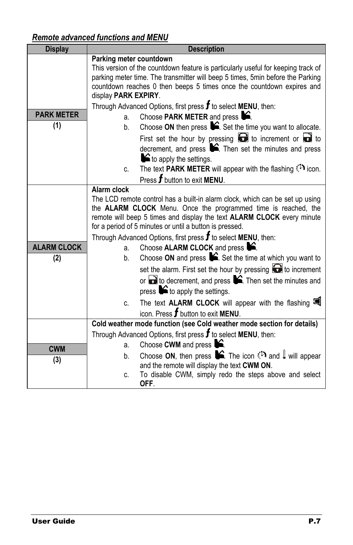## *Remote advanced functions and MENU*

| <b>Display</b>     | <b>Description</b>                                                                                                                             |  |  |  |  |
|--------------------|------------------------------------------------------------------------------------------------------------------------------------------------|--|--|--|--|
|                    | Parking meter countdown                                                                                                                        |  |  |  |  |
|                    | This version of the countdown feature is particularly useful for keeping track of                                                              |  |  |  |  |
|                    | parking meter time. The transmitter will beep 5 times, 5min before the Parking                                                                 |  |  |  |  |
|                    | countdown reaches 0 then beeps 5 times once the countdown expires and                                                                          |  |  |  |  |
|                    | display PARK EXPIRY.                                                                                                                           |  |  |  |  |
| <b>PARK METER</b>  | Through Advanced Options, first press $f$ to select MENU, then:                                                                                |  |  |  |  |
| (1)                | Choose PARK METER and press $\blacktriangleright$ .<br>a.                                                                                      |  |  |  |  |
|                    | Choose ON then press $\blacktriangleright$ . Set the time you want to allocate.<br>b.                                                          |  |  |  |  |
|                    | First set the hour by pressing $\bigodot$ to increment or $\bigcirc$ to                                                                        |  |  |  |  |
|                    | decrement, and press $\blacktriangleright$ . Then set the minutes and press                                                                    |  |  |  |  |
|                    | $\blacktriangleright$ to apply the settings.                                                                                                   |  |  |  |  |
|                    | The text <b>PARK METER</b> will appear with the flashing $\binom{1}{k}$ icon.<br>C.                                                            |  |  |  |  |
|                    | Press f button to exit MENU.                                                                                                                   |  |  |  |  |
|                    | Alarm clock                                                                                                                                    |  |  |  |  |
|                    | The LCD remote control has a built-in alarm clock, which can be set up using<br>the ALARM CLOCK Menu. Once the programmed time is reached, the |  |  |  |  |
|                    | remote will beep 5 times and display the text ALARM CLOCK every minute                                                                         |  |  |  |  |
|                    | for a period of 5 minutes or until a button is pressed.                                                                                        |  |  |  |  |
|                    | Through Advanced Options, first press $f$ to select MENU, then:                                                                                |  |  |  |  |
| <b>ALARM CLOCK</b> | Choose ALARM CLOCK and press <b>S</b> .<br>a.                                                                                                  |  |  |  |  |
| (2)                | Choose ON and press $\hat{\blacktriangleright}$ . Set the time at which you want to<br>b.                                                      |  |  |  |  |
|                    | set the alarm. First set the hour by pressing <b>the independance of</b> to increment                                                          |  |  |  |  |
|                    | or $\Box$ to decrement, and press $\blacktriangleright$ . Then set the minutes and                                                             |  |  |  |  |
|                    | press $\blacktriangleright$ to apply the settings.                                                                                             |  |  |  |  |
|                    | The text ALARM CLOCK will appear with the flashing<br>C.                                                                                       |  |  |  |  |
|                    | icon. Press $f$ button to exit MENU.                                                                                                           |  |  |  |  |
|                    | Cold weather mode function (see Cold weather mode section for details)                                                                         |  |  |  |  |
|                    | Through Advanced Options, first press $f$ to select MENU, then:                                                                                |  |  |  |  |
| <b>CWM</b>         | Choose CWM and press $\blacksquare$<br>a.                                                                                                      |  |  |  |  |
| (3)                | Choose ON, then press $\blacktriangleright$ The icon $\binom{1}{2}$ and $\blacktriangleright$ will appear<br>b.                                |  |  |  |  |
|                    | and the remote will display the text CWM ON.                                                                                                   |  |  |  |  |
|                    | To disable CWM, simply redo the steps above and select<br>C.                                                                                   |  |  |  |  |
|                    | OFF.                                                                                                                                           |  |  |  |  |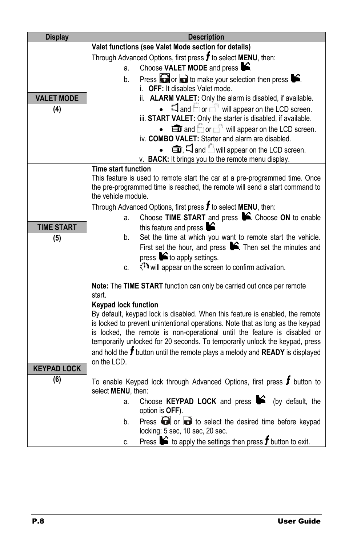| <b>Display</b>     | <b>Description</b>                                                                                                               |  |  |  |  |  |
|--------------------|----------------------------------------------------------------------------------------------------------------------------------|--|--|--|--|--|
|                    | Valet functions (see Valet Mode section for details)                                                                             |  |  |  |  |  |
|                    | Through Advanced Options, first press $f$ to select MENU, then:                                                                  |  |  |  |  |  |
|                    | Choose VALET MODE and press $\blacktriangleright$ .<br>a.                                                                        |  |  |  |  |  |
|                    | Press $\bigodot$ or $\bigodot$ to make your selection then press $\blacktriangleright$ .<br>b.                                   |  |  |  |  |  |
|                    | i. OFF: It disables Valet mode.                                                                                                  |  |  |  |  |  |
| <b>VALET MODE</b>  | ii. ALARM VALET: Only the alarm is disabled, if available.                                                                       |  |  |  |  |  |
| (4)                | $\Box$ and $\Box$ or $\Box$ will appear on the LCD screen.                                                                       |  |  |  |  |  |
|                    | iii. START VALET: Only the starter is disabled, if available.                                                                    |  |  |  |  |  |
|                    | $\bullet$ $\blacksquare$ and $\Box$ or $\Box$ will appear on the LCD screen.<br>iv. COMBO VALET: Starter and alarm are disabled. |  |  |  |  |  |
|                    |                                                                                                                                  |  |  |  |  |  |
|                    | and $\bigcirc$ will appear on the LCD screen.<br>v. BACK: It brings you to the remote menu display.                              |  |  |  |  |  |
|                    | <b>Time start function</b>                                                                                                       |  |  |  |  |  |
|                    | This feature is used to remote start the car at a pre-programmed time. Once                                                      |  |  |  |  |  |
|                    | the pre-programmed time is reached, the remote will send a start command to                                                      |  |  |  |  |  |
|                    | the vehicle module.                                                                                                              |  |  |  |  |  |
|                    | Through Advanced Options, first press $f$ to select MENU, then:                                                                  |  |  |  |  |  |
|                    | Choose TIME START and press C. Choose ON to enable<br>a.                                                                         |  |  |  |  |  |
| <b>TIME START</b>  | this feature and press $\blacktriangleright$ .                                                                                   |  |  |  |  |  |
| (5)                | Set the time at which you want to remote start the vehicle.<br>b.                                                                |  |  |  |  |  |
|                    | First set the hour, and press $\blacktriangleright$ . Then set the minutes and                                                   |  |  |  |  |  |
|                    | press $\triangleright$ to apply settings.                                                                                        |  |  |  |  |  |
|                    | will appear on the screen to confirm activation.<br>c.                                                                           |  |  |  |  |  |
|                    | Note: The TIME START function can only be carried out once per remote                                                            |  |  |  |  |  |
|                    | start.                                                                                                                           |  |  |  |  |  |
|                    | <b>Keypad lock function</b>                                                                                                      |  |  |  |  |  |
|                    | By default, keypad lock is disabled. When this feature is enabled, the remote                                                    |  |  |  |  |  |
|                    | is locked to prevent unintentional operations. Note that as long as the keypad                                                   |  |  |  |  |  |
|                    | is locked, the remote is non-operational until the feature is disabled or                                                        |  |  |  |  |  |
|                    | temporarily unlocked for 20 seconds. To temporarily unlock the keypad, press                                                     |  |  |  |  |  |
|                    | and hold the $f$ button until the remote plays a melody and READY is displayed<br>on the LCD.                                    |  |  |  |  |  |
| <b>KEYPAD LOCK</b> |                                                                                                                                  |  |  |  |  |  |
| (6)                | To enable Keypad lock through Advanced Options, first press $f$ button to                                                        |  |  |  |  |  |
|                    | select MENU, then:                                                                                                               |  |  |  |  |  |
|                    | Choose KEYPAD LOCK and press $\bullet$ (by default, the<br>a.                                                                    |  |  |  |  |  |
|                    | option is OFF).                                                                                                                  |  |  |  |  |  |
|                    | Press $\Box$ or $\Box$ to select the desired time before keypad<br>b.                                                            |  |  |  |  |  |
|                    | locking: 5 sec, 10 sec, 20 sec.                                                                                                  |  |  |  |  |  |
|                    | Press $\blacktriangleright$ to apply the settings then press <b>f</b> button to exit.<br>C.                                      |  |  |  |  |  |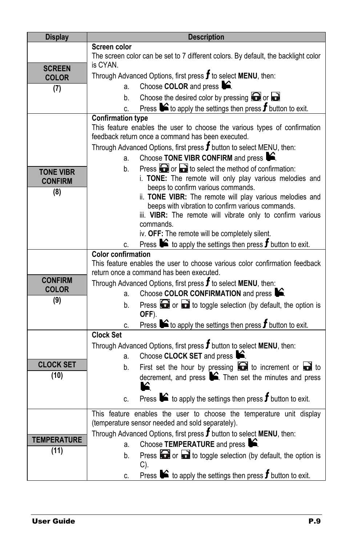| <b>Display</b>     | <b>Description</b>                                                                                       |  |  |  |  |  |
|--------------------|----------------------------------------------------------------------------------------------------------|--|--|--|--|--|
|                    | Screen color                                                                                             |  |  |  |  |  |
|                    | The screen color can be set to 7 different colors. By default, the backlight color                       |  |  |  |  |  |
| <b>SCREEN</b>      | is CYAN.                                                                                                 |  |  |  |  |  |
| <b>COLOR</b>       | Through Advanced Options, first press $f$ to select MENU, then:                                          |  |  |  |  |  |
| (7)                | Choose COLOR and press <b>C</b> .<br>a.                                                                  |  |  |  |  |  |
|                    | Choose the desired color by pressing $\Box$ or $\Box$<br>b.                                              |  |  |  |  |  |
|                    | Press $\blacktriangleright$ to apply the settings then press <b>f</b> button to exit.<br>c.              |  |  |  |  |  |
|                    | <b>Confirmation type</b>                                                                                 |  |  |  |  |  |
|                    | This feature enables the user to choose the various types of confirmation                                |  |  |  |  |  |
|                    | feedback return once a command has been executed.                                                        |  |  |  |  |  |
|                    | Through Advanced Options, first press $f$ button to select MENU, then:                                   |  |  |  |  |  |
|                    | Choose TONE VIBR CONFIRM and press $\blacktriangleright$ .<br>a.                                         |  |  |  |  |  |
| <b>TONE VIBR</b>   | Press $\Box$ or $\Box$ to select the method of confirmation:<br>b.                                       |  |  |  |  |  |
| <b>CONFIRM</b>     | i. TONE: The remote will only play various melodies and                                                  |  |  |  |  |  |
| (8)                | beeps to confirm various commands.                                                                       |  |  |  |  |  |
|                    | ii. TONE VIBR: The remote will play various melodies and                                                 |  |  |  |  |  |
|                    | beeps with vibration to confirm various commands.                                                        |  |  |  |  |  |
|                    | iii. VIBR: The remote will vibrate only to confirm various                                               |  |  |  |  |  |
|                    | commands.                                                                                                |  |  |  |  |  |
|                    | iv. OFF: The remote will be completely silent.                                                           |  |  |  |  |  |
|                    | Press $\blacktriangleright$ to apply the settings then press <b>f</b> button to exit.<br>C.              |  |  |  |  |  |
|                    | <b>Color confirmation</b><br>This feature enables the user to choose various color confirmation feedback |  |  |  |  |  |
|                    | return once a command has been executed.                                                                 |  |  |  |  |  |
| <b>CONFIRM</b>     | Through Advanced Options, first press $f$ to select MENU, then:                                          |  |  |  |  |  |
| <b>COLOR</b>       | Choose COLOR CONFIRMATION and press C.<br>a.                                                             |  |  |  |  |  |
| (9)                | Press $\Box$ or $\Box$ to toggle selection (by default, the option is<br>b.                              |  |  |  |  |  |
|                    | OFF).                                                                                                    |  |  |  |  |  |
|                    | Press $\blacktriangleright$ to apply the settings then press $f$ button to exit.                         |  |  |  |  |  |
|                    | c.<br><b>Clock Set</b>                                                                                   |  |  |  |  |  |
|                    | Through Advanced Options, first press $f$ button to select MENU, then:                                   |  |  |  |  |  |
|                    | Choose CLOCK SET and press <b>S</b> .<br>a.                                                              |  |  |  |  |  |
| <b>CLOCK SET</b>   | First set the hour by pressing $\blacksquare$ to increment or $\blacksquare$ to<br>b.                    |  |  |  |  |  |
| (10)               | decrement, and press $\hat{\blacktriangleright}$ . Then set the minutes and press                        |  |  |  |  |  |
|                    |                                                                                                          |  |  |  |  |  |
|                    | Press $\blacktriangleright$ to apply the settings then press <b>f</b> button to exit.                    |  |  |  |  |  |
|                    | C.                                                                                                       |  |  |  |  |  |
|                    | This feature enables the user to choose the temperature unit display                                     |  |  |  |  |  |
|                    | (temperature sensor needed and sold separately).                                                         |  |  |  |  |  |
| <b>TEMPERATURE</b> | Through Advanced Options, first press $f$ button to select MENU, then:                                   |  |  |  |  |  |
|                    | Choose TEMPERATURE and press <b>S</b> .<br>a.                                                            |  |  |  |  |  |
| (11)               | Press $\bigodot$ or $\bigodot$ to toggle selection (by default, the option is<br>b.                      |  |  |  |  |  |
|                    | C).                                                                                                      |  |  |  |  |  |
|                    | Press $\bullet$ to apply the settings then press $f$ button to exit.<br>C.                               |  |  |  |  |  |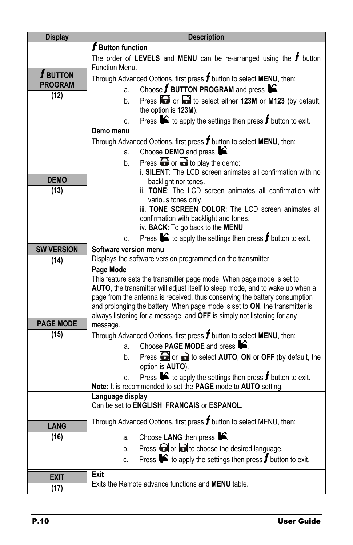| <b>Display</b>    | <b>Description</b>                                                                                                                                     |  |  |  |  |  |
|-------------------|--------------------------------------------------------------------------------------------------------------------------------------------------------|--|--|--|--|--|
|                   | $\boldsymbol{f}$ Button function                                                                                                                       |  |  |  |  |  |
|                   | The order of LEVELS and MENU can be re-arranged using the $f$ button                                                                                   |  |  |  |  |  |
|                   | Function Menu.                                                                                                                                         |  |  |  |  |  |
| $\bm{f}$ button   | Through Advanced Options, first press $f$ button to select MENU, then:                                                                                 |  |  |  |  |  |
| <b>PROGRAM</b>    | Choose $f$ BUTTON PROGRAM and press $\mathbf{S}$ .<br>a.                                                                                               |  |  |  |  |  |
| (12)              | Press or a to select either 123M or M123 (by default,<br>$h_{-}$                                                                                       |  |  |  |  |  |
|                   | the option is 123M).                                                                                                                                   |  |  |  |  |  |
|                   | Press $\bullet$ to apply the settings then press <b>f</b> button to exit.<br>C.                                                                        |  |  |  |  |  |
|                   | Demo menu                                                                                                                                              |  |  |  |  |  |
|                   | Through Advanced Options, first press $f$ button to select MENU, then:                                                                                 |  |  |  |  |  |
|                   | Choose DEMO and press <b>S</b> .<br>a.                                                                                                                 |  |  |  |  |  |
|                   | Press $\bigodot$ or $\bigodot$ to play the demo:<br>b.                                                                                                 |  |  |  |  |  |
|                   | i. SILENT: The LCD screen animates all confirmation with no                                                                                            |  |  |  |  |  |
| <b>DEMO</b>       | backlight nor tones.                                                                                                                                   |  |  |  |  |  |
| (13)              | ii. TONE: The LCD screen animates all confirmation with                                                                                                |  |  |  |  |  |
|                   | various tones only.<br>iii. TONE SCREEN COLOR: The LCD screen animates all                                                                             |  |  |  |  |  |
|                   | confirmation with backlight and tones.                                                                                                                 |  |  |  |  |  |
|                   | iv. BACK: To go back to the MENU.                                                                                                                      |  |  |  |  |  |
|                   | Press $\bullet$ to apply the settings then press $f$ button to exit.<br>C.                                                                             |  |  |  |  |  |
| <b>SW VERSION</b> | Software version menu                                                                                                                                  |  |  |  |  |  |
| (14)              | Displays the software version programmed on the transmitter.                                                                                           |  |  |  |  |  |
|                   | Page Mode                                                                                                                                              |  |  |  |  |  |
|                   | This feature sets the transmitter page mode. When page mode is set to                                                                                  |  |  |  |  |  |
|                   | AUTO, the transmitter will adjust itself to sleep mode, and to wake up when a                                                                          |  |  |  |  |  |
|                   | page from the antenna is received, thus conserving the battery consumption                                                                             |  |  |  |  |  |
|                   | and prolonging the battery. When page mode is set to ON, the transmitter is<br>always listening for a message, and OFF is simply not listening for any |  |  |  |  |  |
| <b>PAGE MODE</b>  | message.                                                                                                                                               |  |  |  |  |  |
| (15)              | Through Advanced Options, first press $f$ button to select MENU, then:                                                                                 |  |  |  |  |  |
|                   | Choose PAGE MODE and press $\mathbf{S}$ .<br>a.                                                                                                        |  |  |  |  |  |
|                   | Press or a to select AUTO, ON or OFF (by default, the<br>b.                                                                                            |  |  |  |  |  |
|                   | option is AUTO).                                                                                                                                       |  |  |  |  |  |
|                   | Press $\blacktriangleright$ to apply the settings then press <b>f</b> button to exit.<br>C.                                                            |  |  |  |  |  |
|                   | Note: It is recommended to set the PAGE mode to AUTO setting.                                                                                          |  |  |  |  |  |
|                   | Language display                                                                                                                                       |  |  |  |  |  |
|                   | Can be set to ENGLISH, FRANCAIS or ESPANOL.                                                                                                            |  |  |  |  |  |
|                   | Through Advanced Options, first press $f$ button to select MENU, then:                                                                                 |  |  |  |  |  |
| <b>LANG</b>       |                                                                                                                                                        |  |  |  |  |  |
| (16)              | Choose LANG then press <b>S</b> .<br>a.                                                                                                                |  |  |  |  |  |
|                   | Press $\bigodot$ or $\bigodot$ to choose the desired language.<br>b.                                                                                   |  |  |  |  |  |
|                   | Press $\blacktriangleright$ to apply the settings then press <b>f</b> button to exit.<br>C.                                                            |  |  |  |  |  |
|                   | Exit                                                                                                                                                   |  |  |  |  |  |
| <b>EXIT</b>       | Exits the Remote advance functions and <b>MENU</b> table.                                                                                              |  |  |  |  |  |
| (17)              |                                                                                                                                                        |  |  |  |  |  |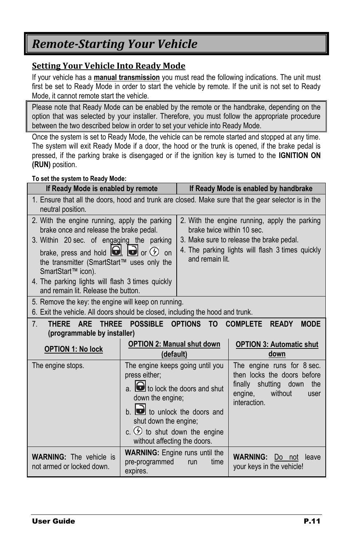## <span id="page-10-0"></span>*Remote-Starting Your Vehicle*

#### <span id="page-10-1"></span>**Setting Your Vehicle Into Ready Mode**

If your vehicle has a **manual transmission** you must read the following indications. The unit must first be set to Ready Mode in order to start the vehicle by remote. If the unit is not set to Ready Mode, it cannot remote start the vehicle.

Please note that Ready Mode can be enabled by the remote or the handbrake, depending on the option that was selected by your installer. Therefore, you must follow the appropriate procedure between the two described below in order to set your vehicle into Ready Mode.

Once the system is set to Ready Mode, the vehicle can be remote started and stopped at any time. The system will exit Ready Mode if a door, the hood or the trunk is opened, if the brake pedal is pressed, if the parking brake is disengaged or if the ignition key is turned to the **IGNITION ON (RUN)** position.

#### **To set the system to Ready Mode:**

| If Ready Mode is enabled by remote                                                                                                                                                                                                                             |                                                                                                                                                                                                                                                                                    | If Ready Mode is enabled by handbrake                                                                                                                                                          |                                                                                                                                         |  |
|----------------------------------------------------------------------------------------------------------------------------------------------------------------------------------------------------------------------------------------------------------------|------------------------------------------------------------------------------------------------------------------------------------------------------------------------------------------------------------------------------------------------------------------------------------|------------------------------------------------------------------------------------------------------------------------------------------------------------------------------------------------|-----------------------------------------------------------------------------------------------------------------------------------------|--|
| 1. Ensure that all the doors, hood and trunk are closed. Make sure that the gear selector is in the<br>neutral position.                                                                                                                                       |                                                                                                                                                                                                                                                                                    |                                                                                                                                                                                                |                                                                                                                                         |  |
| 2. With the engine running, apply the parking<br>brake once and release the brake pedal.<br>3. Within 20 sec. of engaging the parking<br>brake, press and hold $\Box$ $\Box$ or $\odot$ on<br>the transmitter (SmartStart™ uses only the<br>SmartStart™ icon). |                                                                                                                                                                                                                                                                                    | 2. With the engine running, apply the parking<br>brake twice within 10 sec.<br>3. Make sure to release the brake pedal.<br>4. The parking lights will flash 3 times quickly<br>and remain lit. |                                                                                                                                         |  |
| 4. The parking lights will flash 3 times guickly<br>and remain lit. Release the button.                                                                                                                                                                        |                                                                                                                                                                                                                                                                                    |                                                                                                                                                                                                |                                                                                                                                         |  |
| 5. Remove the key: the engine will keep on running.<br>6. Exit the vehicle. All doors should be closed, including the hood and trunk.                                                                                                                          |                                                                                                                                                                                                                                                                                    |                                                                                                                                                                                                |                                                                                                                                         |  |
| THREE POSSIBLE OPTIONS TO<br><b>COMPLETE</b><br>7 <sub>1</sub><br><b>THERE</b><br><b>ARE</b><br><b>READY</b><br><b>MODE</b><br>(programmable by installer)                                                                                                     |                                                                                                                                                                                                                                                                                    |                                                                                                                                                                                                |                                                                                                                                         |  |
| <b>OPTION 1: No lock</b>                                                                                                                                                                                                                                       | <b>OPTION 2: Manual shut down</b><br>(default)                                                                                                                                                                                                                                     |                                                                                                                                                                                                | <b>OPTION 3: Automatic shut</b><br>down                                                                                                 |  |
| The engine stops.                                                                                                                                                                                                                                              | The engine keeps going until you<br>press either;<br>$\overline{a}$ . $\overline{b}$ to lock the doors and shut<br>down the engine:<br>$b.$ $\bullet$ to unlock the doors and<br>shut down the engine;<br>c. $\circled{2}$ to shut down the engine<br>without affecting the doors. |                                                                                                                                                                                                | The engine runs for 8 sec.<br>then locks the doors before<br>finally shutting down<br>the<br>engine,<br>without<br>user<br>interaction. |  |
| <b>WARNING:</b> The vehicle is<br>not armed or locked down.                                                                                                                                                                                                    | <b>WARNING:</b> Engine runs until the<br>pre-programmed<br>expires.                                                                                                                                                                                                                | time<br>run                                                                                                                                                                                    | <b>WARNING:</b><br>leave<br>Do not<br>your keys in the vehicle!                                                                         |  |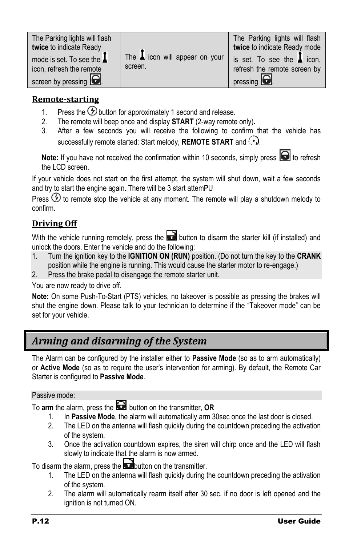#### <span id="page-11-0"></span>**Remote-starting**

- 1. Press the  $\bigcirc$  button for approximately 1 second and release.
- 2. The remote will beep once and display **START** (2-way remote only)**.**
- 3. After a few seconds you will receive the following to confirm that the vehicle has successfully remote started: Start melody, **REMOTE START** and  $\therefore$

Note: If you have not received the confirmation within 10 seconds, simply press **o** to refresh the LCD screen.

If your vehicle does not start on the first attempt, the system will shut down, wait a few seconds and try to start the engine again. There will be 3 start attemPU

Press  $\circled{2}$  to remote stop the vehicle at any moment. The remote will play a shutdown melody to confirm.

#### <span id="page-11-1"></span>**Driving Off**

With the vehicle running remotely, press the  $\Box$  button to disarm the starter kill (if installed) and unlock the doors. Enter the vehicle and do the following:

- 1. Turn the ignition key to the **IGNITION ON (RUN)** position. (Do not turn the key to the **CRANK** position while the engine is running. This would cause the starter motor to re-engage.)
- 2. Press the brake pedal to disengage the remote starter unit.

You are now ready to drive off.

**Note:** On some Push-To-Start (PTS) vehicles, no takeover is possible as pressing the brakes will shut the engine down. Please talk to your technician to determine if the "Takeover mode" can be set for your vehicle.

## <span id="page-11-2"></span>*Arming and disarming of the System*

The Alarm can be configured by the installer either to **Passive Mode** (so as to arm automatically) or **Active Mode** (so as to require the user"s intervention for arming). By default, the Remote Car Starter is configured to **Passive Mode**.

#### Passive mode:

To arm the alarm, press the **button** on the transmitter, OR

- 1. In **Passive Mode**, the alarm will automatically arm 30sec once the last door is closed.
- 2. The LED on the antenna will flash quickly during the countdown preceding the activation of the system.
- 3. Once the activation countdown expires, the siren will chirp once and the LED will flash slowly to indicate that the alarm is now armed.

To disarm the alarm, press the **button** on the transmitter.

- 1. The LED on the antenna will flash quickly during the countdown preceding the activation of the system.
- 2. The alarm will automatically rearm itself after 30 sec. if no door is left opened and the ignition is not turned ON.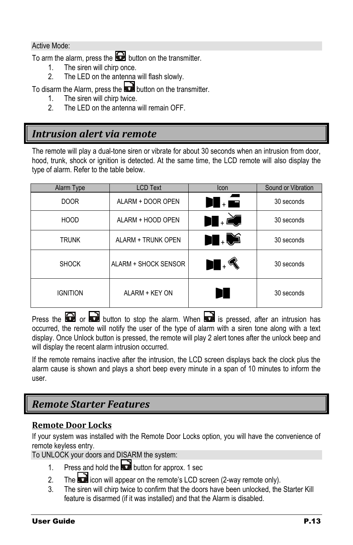#### Active Mode:

To arm the alarm, press the  $\blacksquare$  button on the transmitter.

- 1. The siren will chirp once.<br>2. The LED on the antenna
- The LED on the antenna will flash slowly.

To disarm the Alarm, press the **button on the transmitter.** 

- 1. The siren will chirp twice.
- 2. The LED on the antenna will remain OFF.

#### <span id="page-12-0"></span>*Intrusion alert via remote*

The remote will play a dual-tone siren or vibrate for about 30 seconds when an intrusion from door, hood, trunk, shock or ignition is detected. At the same time, the LCD remote will also display the type of alarm. Refer to the table below.

| Alarm Type      | <b>LCD Text</b>      | <b>Icon</b>      | Sound or Vibration |
|-----------------|----------------------|------------------|--------------------|
| <b>DOOR</b>     | ALARM + DOOR OPEN    | ) . E            | 30 seconds         |
| <b>HOOD</b>     | ALARM + HOOD OPEN    | $\blacksquare$ . | 30 seconds         |
| <b>TRUNK</b>    | ALARM + TRUNK OPEN   | $\blacksquare$   | 30 seconds         |
| <b>SHOCK</b>    | ALARM + SHOCK SENSOR | $\blacksquare$ . | 30 seconds         |
| <b>IGNITION</b> | ALARM + KEY ON       | H                | 30 seconds         |

Press the  $\Box$  or  $\Box$  button to stop the alarm. When  $\Box$  is pressed, after an intrusion has occurred, the remote will notify the user of the type of alarm with a siren tone along with a text display. Once Unlock button is pressed, the remote will play 2 alert tones after the unlock beep and will display the recent alarm intrusion occurred.

If the remote remains inactive after the intrusion, the LCD screen displays back the clock plus the alarm cause is shown and plays a short beep every minute in a span of 10 minutes to inform the user.

#### <span id="page-12-1"></span>*Remote Starter Features*

#### <span id="page-12-2"></span>**Remote Door Locks**

If your system was installed with the Remote Door Locks option, you will have the convenience of remote keyless entry.

To UNLOCK your doors and DISARM the system:

- 1. Press and hold the **button for approx.** 1 sec
- 2. The  $\Box$  icon will appear on the remote's LCD screen (2-way remote only).
- 3. The siren will chirp twice to confirm that the doors have been unlocked, the Starter Kill feature is disarmed (if it was installed) and that the Alarm is disabled.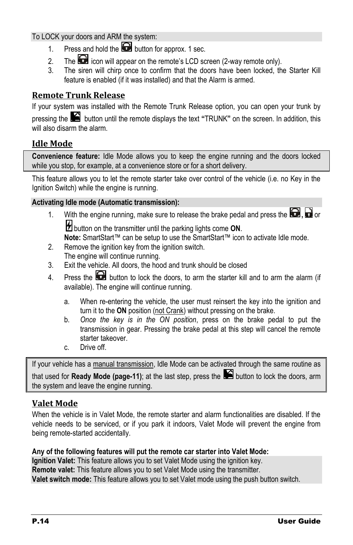#### To LOCK your doors and ARM the system:

- 1. Press and hold the **button for approx.** 1 sec.
- 2. The  $\Box$  icon will appear on the remote's LCD screen (2-way remote only).
- 3. The siren will chirp once to confirm that the doors have been locked, the Starter Kill feature is enabled (if it was installed) and that the Alarm is armed.

#### <span id="page-13-0"></span>**Remote Trunk Release**

If your system was installed with the Remote Trunk Release option, you can open your trunk by pressing the button until the remote displays the text **"**TRUNK**"** on the screen. In addition, this will also disarm the alarm.

#### <span id="page-13-1"></span>**Idle Mode**

**Convenience feature:** Idle Mode allows you to keep the engine running and the doors locked while you stop, for example, at a convenience store or for a short delivery.

This feature allows you to let the remote starter take over control of the vehicle (i.e. no Key in the Ignition Switch) while the engine is running.

#### **Activating Idle mode (Automatic transmission):**

- 1. With the engine running, make sure to release the brake pedal and press the  $\Box$ ,  $\Box$  or button on the transmitter until the parking lights come **ON**.
	- **Note:** SmartStart™ can be setup to use the SmartStart™ icon to activate Idle mode.
- 2. Remove the ignition key from the ignition switch. The engine will continue running.
- 3. Exit the vehicle. All doors, the hood and trunk should be closed
- 4. Press the  $\Box$  button to lock the doors, to arm the starter kill and to arm the alarm (if available). The engine will continue running.
	- a. When re-entering the vehicle, the user must reinsert the key into the ignition and turn it to the **ON** position (not Crank) without pressing on the brake.
	- b. *Once the key is in the ON position*, press on the brake pedal to put the transmission in gear. Pressing the brake pedal at this step will cancel the remote starter takeover.
	- c. Drive off.

If your vehicle has a manual transmission, Idle Mode can be activated through the same routine as that used for **Ready Mode (pag[e-11\)](#page-10-0)**; at the last step, press the **button to lock the doors**, arm the system and leave the engine running.

#### <span id="page-13-2"></span>**Valet Mode**

When the vehicle is in Valet Mode, the remote starter and alarm functionalities are disabled. If the vehicle needs to be serviced, or if you park it indoors, Valet Mode will prevent the engine from being remote-started accidentally.

#### **Any of the following features will put the remote car starter into Valet Mode:**

**Ignition Valet:** This feature allows you to set Valet Mode using the ignition key. **Remote valet:** This feature allows you to set Valet Mode using the transmitter. **Valet switch mode:** This feature allows you to set Valet mode using the push button switch.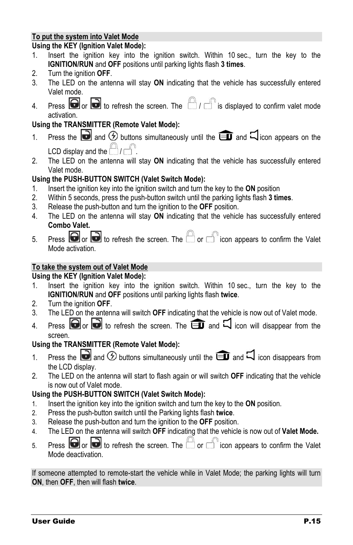#### **To put the system into Valet Mode**

#### **Using the KEY (Ignition Valet Mode):**

- 1. Insert the ignition key into the ignition switch. Within 10 sec., turn the key to the **IGNITION/RUN** and **OFF** positions until parking lights flash **3 times**.
- 2. Turn the ignition **OFF**.
- 3. The LED on the antenna will stay **ON** indicating that the vehicle has successfully entered Valet mode.
- 4. Press  $\bigcirc$  or  $\bigcirc$  to refresh the screen. The  $\bigcirc$  /  $\bigcirc$  is displayed to confirm valet mode activation.

#### **Using the TRANSMITTER (Remote Valet Mode):**

- 1. Press the **a** and  $\odot$  buttons simultaneously until the **a** and  $\Box$  icon appears on the LCD display and the  $\Box$ /
- 2. The LED on the antenna will stay **ON** indicating that the vehicle has successfully entered Valet mode.

#### **Using the PUSH-BUTTON SWITCH (Valet Switch Mode):**

- 1. Insert the ignition key into the ignition switch and turn the key to the **ON** position
- 2. Within 5 seconds, press the push-button switch until the parking lights flash **3 times**.
- 3. Release the push-button and turn the ignition to the **OFF** position.
- 4. The LED on the antenna will stay **ON** indicating that the vehicle has successfully entered **Combo Valet.**
- 5. Press  $\bigcirc$  or  $\bigcirc$  to refresh the screen. The  $\Box$  or  $\Box$  icon appears to confirm the Valet Mode activation.

#### **To take the system out of Valet Mode**

#### **Using the KEY (Ignition Valet Mode):**

- 1. Insert the ignition key into the ignition switch. Within 10 sec., turn the key to the **IGNITION/RUN** and **OFF** positions until parking lights flash **twice**.
- 2. Turn the ignition **OFF**.
- 3. The LED on the antenna will switch **OFF** indicating that the vehicle is now out of Valet mode.
- 4. Press  $\bigcirc$  or  $\bigcirc$  to refresh the screen. The  $\bigcirc$  and  $\Box$  icon will disappear from the screen.

#### **Using the TRANSMITTER (Remote Valet Mode):**

- 1. Press the **a** and  $\bigcirc$  buttons simultaneously until the **ight** and  $\Box$  icon disappears from the LCD display.
- 2. The LED on the antenna will start to flash again or will switch **OFF** indicating that the vehicle is now out of Valet mode.

#### **Using the PUSH-BUTTON SWITCH (Valet Switch Mode):**

- 1. Insert the ignition key into the ignition switch and turn the key to the **ON** position.
- 2. Press the push-button switch until the Parking lights flash **twice**.
- 3. Release the push-button and turn the ignition to the **OFF** position.
- 4. The LED on the antenna will switch **OFF** indicating that the vehicle is now out of **Valet Mode.**
- 5. Press  $\bigcirc$  or  $\bigcirc$  to refresh the screen. The  $\Box$  or  $\Box$  icon appears to confirm the Valet Mode deactivation.

If someone attempted to remote-start the vehicle while in Valet Mode; the parking lights will turn **ON**, then **OFF**, then will flash **twice**.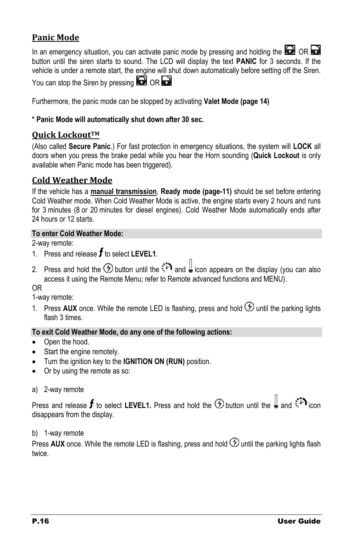#### <span id="page-15-0"></span>**Panic Mode**

In an emergency situation, you can activate panic mode by pressing and holding the  $\Box$  OR  $\Box$ button until the siren starts to sound. The LCD will display the text **PANIC** for 3 seconds. If the vehicle is under a remote start, the engine will shut down automatically before setting off the Siren. You can stop the Siren by pressing  $\mathbf \Omega$  OR  $\mathbf \Omega$ 

Furthermore, the panic mode can be stopped by activating **Valet Mode (page [14\)](#page-13-2)**

#### **\* Panic Mode will automatically shut down after 30 sec.**

#### <span id="page-15-1"></span>**Quick LockoutTM**

(Also called **Secure Panic**.) For fast protection in emergency situations, the system will **LOCK** all doors when you press the brake pedal while you hear the Horn sounding (**Quick Lockout** is only available when Panic mode has been triggered).

#### <span id="page-15-2"></span>**Cold Weather Mode**

If the vehicle has a **manual transmission**, **Ready mode (pag[e-11\)](#page-10-0)** should be set before entering Cold Weather mode. When Cold Weather Mode is active, the engine starts every 2 hours and runs for 3 minutes (8 or 20 minutes for diesel engines). Cold Weather Mode automatically ends after 24 hours or 12 starts.

#### **To enter Cold Weather Mode:**

2-way remote:

- 1. Press and release  $f$  to select LEVEL1.
- 2. Press and hold the  $\circled{D}$  button until the  $\circled{P}$  and  $\downarrow$  icon appears on the display (you can also access it using the Remote Menu; refer to Remote advanced functions and MENU).

OR

1-way remote:

1. Press AUX once. While the remote LED is flashing, press and hold  $\circled{D}$  until the parking lights flash 3 times.

#### **To exit Cold Weather Mode, do any one of the following actions:**

- Open the hood.
- Start the engine remotely.
- Turn the ignition key to the **IGNITION ON (RUN)** position.
- Or by using the remote as so:
- a) 2-way remote

Press and release  $f$  to select LEVEL1. Press and hold the  $\bigcirc$  button until the  $\bigcirc$  and  $\colon F$  icon disappears from the display.

#### b) 1-way remote

Press AUX once. While the remote LED is flashing, press and hold  $\odot$  until the parking lights flash twice.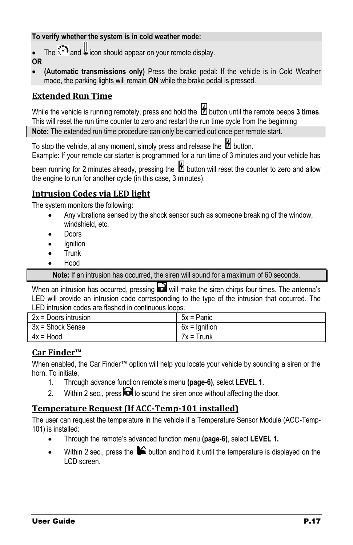#### **To verify whether the system is in cold weather mode:**

The  $\sharp$ **D** and  $\bigcup$  icon should appear on your remote display.

**OR**

 **(Automatic transmissions only)** Press the brake pedal: If the vehicle is in Cold Weather mode, the parking lights will remain **ON** while the brake pedal is pressed.

#### <span id="page-16-0"></span>**Extended Run Time**

While the vehicle is running remotely, press and hold the  $\mathbb{Z}$  button until the remote beeps 3 times. This will reset the run time counter to zero and restart the run time cycle from the beginning

**Note:** The extended run time procedure can only be carried out once per remote start.

To stop the vehicle, at any moment, simply press and release the  $\mathbb Z$  button.

Example: If your remote car starter is programmed for a run time of 3 minutes and your vehicle has

been running for 2 minutes already, pressing the  $\mathcal H$  button will reset the counter to zero and allow the engine to run for another cycle (in this case, 3 minutes).

#### <span id="page-16-1"></span>**Intrusion Codes via LED light**

The system monitors the following:

- Any vibrations sensed by the shock sensor such as someone breaking of the window, windshield, etc.
- Doors
- **Ignition**
- Trunk
- Hood

**Note:** If an intrusion has occurred, the siren will sound for a maximum of 60 seconds.

When an intrusion has occurred, pressing  $\blacksquare$  will make the siren chirps four times. The antenna's LED will provide an intrusion code corresponding to the type of the intrusion that occurred. The LED intrusion codes are flashed in continuous loops.

| $2x =$ Doors intrusion | 5x = Panic      |
|------------------------|-----------------|
| 3x = Shock Sense       | $6x =$ Ignition |
| $4x = Hood$            | $7x = Trunk$    |

#### <span id="page-16-2"></span>**Car Finder™**

When enabled, the Car Finder™ option will help you locate your vehicle by sounding a siren or the horn. To initiate,

- 1. Through advance function remote"s menu **(page[-6\)](#page-5-1)**, select **LEVEL 1.**
- 2. Within 2 sec., press  $\blacksquare$  to sound the siren once without affecting the door.

#### <span id="page-16-3"></span>**Temperature Request (If ACC-Temp-101 installed)**

The user can request the temperature in the vehicle if a Temperature Sensor Module (ACC-Temp-101) is installed:

- Through the remote"s advanced function menu **(page[-6\)](#page-5-1)**, select **LEVEL 1.**
- Within 2 sec., press the  $\blacktriangleright$  button and hold it until the temperature is displayed on the LCD screen.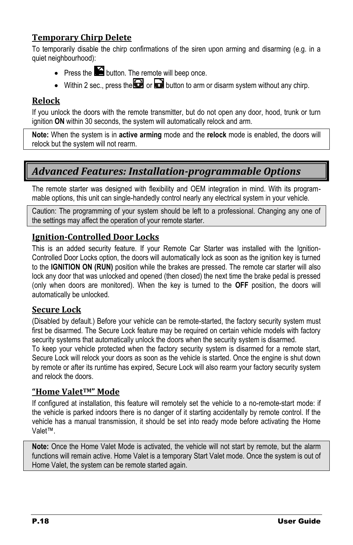#### <span id="page-17-0"></span>**Temporary Chirp Delete**

To temporarily disable the chirp confirmations of the siren upon arming and disarming (e.g. in a quiet neighbourhood):

- $\bullet$  Press the  $\blacksquare$  button. The remote will beep once.
- Within 2 sec., press the  $\Box$  or  $\Box$  button to arm or disarm system without any chirp.

#### <span id="page-17-1"></span>**Relock**

If you unlock the doors with the remote transmitter, but do not open any door, hood, trunk or turn ignition **ON** within 30 seconds, the system will automatically relock and arm.

**Note:** When the system is in **active arming** mode and the **relock** mode is enabled, the doors will relock but the system will not rearm.

#### <span id="page-17-2"></span>*Advanced Features: Installation-programmable Options*

The remote starter was designed with flexibility and OEM integration in mind. With its programmable options, this unit can single-handedly control nearly any electrical system in your vehicle.

Caution: The programming of your system should be left to a professional. Changing any one of the settings may affect the operation of your remote starter.

#### <span id="page-17-3"></span>**Ignition-Controlled Door Locks**

This is an added security feature. If your Remote Car Starter was installed with the Ignition-Controlled Door Locks option, the doors will automatically lock as soon as the ignition key is turned to the **IGNITION ON (RUN)** position while the brakes are pressed. The remote car starter will also lock any door that was unlocked and opened (then closed) the next time the brake pedal is pressed (only when doors are monitored). When the key is turned to the **OFF** position, the doors will automatically be unlocked.

#### <span id="page-17-4"></span>**Secure Lock**

(Disabled by default.) Before your vehicle can be remote-started, the factory security system must first be disarmed. The Secure Lock feature may be required on certain vehicle models with factory security systems that automatically unlock the doors when the security system is disarmed. To keep your vehicle protected when the factory security system is disarmed for a remote start,

Secure Lock will relock your doors as soon as the vehicle is started. Once the engine is shut down by remote or after its runtime has expired, Secure Lock will also rearm your factory security system and relock the doors.

#### <span id="page-17-5"></span>**"Home ValetTM" Mode**

If configured at installation, this feature will remotely set the vehicle to a no-remote-start mode: if the vehicle is parked indoors there is no danger of it starting accidentally by remote control. If the vehicle has a manual transmission, it should be set into ready mode before activating the Home Valet™.

**Note:** Once the Home Valet Mode is activated, the vehicle will not start by remote, but the alarm functions will remain active. Home Valet is a temporary Start Valet mode. Once the system is out of Home Valet, the system can be remote started again.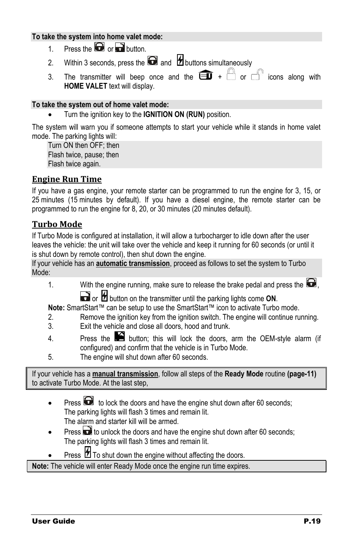#### **To take the system into home valet mode:**

- 1. Press the  $\Box$  or  $\Box$  button.
- 2. Within 3 seconds, press the  $\blacksquare$  and  $\blacksquare$  buttons simultaneously
- 3. The transmitter will beep once and the  $\widehat{=}$  +  $\Box$  or  $\Box$  icons along with **HOME VALET** text will display.

#### **To take the system out of home valet mode:**

Turn the ignition key to the **IGNITION ON (RUN)** position.

The system will warn you if someone attempts to start your vehicle while it stands in home valet mode. The parking lights will:

Turn ON then OFF; then Flash twice, pause; then Flash twice again.

#### <span id="page-18-0"></span>**Engine Run Time**

If you have a gas engine, your remote starter can be programmed to run the engine for 3, 15, or 25 minutes (15 minutes by default). If you have a diesel engine, the remote starter can be programmed to run the engine for 8, 20, or 30 minutes (20 minutes default).

#### <span id="page-18-1"></span>**Turbo Mode**

If Turbo Mode is configured at installation, it will allow a turbocharger to idle down after the user leaves the vehicle: the unit will take over the vehicle and keep it running for 60 seconds (or until it is shut down by remote control), then shut down the engine.

If your vehicle has an **automatic transmission**, proceed as follows to set the system to Turbo Mode:

1. With the engine running, make sure to release the brake pedal and press the  $\Box$ , or **b** button on the transmitter until the parking lights come ON.

**Note:** SmartStart™ can be setup to use the SmartStart™ icon to activate Turbo mode.

- 2. Remove the ignition key from the ignition switch. The engine will continue running.
- 3. Exit the vehicle and close all doors, hood and trunk.
- 4. Press the  $\blacktriangleright$  button; this will lock the doors, arm the OEM-style alarm (if configured) and confirm that the vehicle is in Turbo Mode.
- 5. The engine will shut down after 60 seconds.

If your vehicle has a **manual transmission**, follow all steps of the **Ready Mode** routine **(pag[e-11\)](#page-10-0)** to activate Turbo Mode. At the last step,

- Press  $\Box$  to lock the doors and have the engine shut down after 60 seconds; The parking lights will flash 3 times and remain lit. The alarm and starter kill will be armed.
- Press **the** to unlock the doors and have the engine shut down after 60 seconds; The parking lights will flash 3 times and remain lit.
- Press  $\sharp$  To shut down the engine without affecting the doors.

**Note:** The vehicle will enter Ready Mode once the engine run time expires.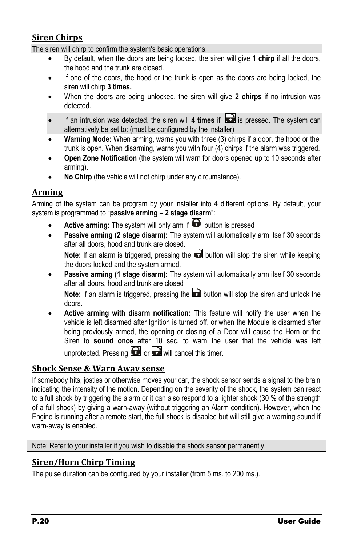#### <span id="page-19-0"></span>**Siren Chirps**

The siren will chirp to confirm the system's basic operations:

- By default, when the doors are being locked, the siren will give **1 chirp** if all the doors, the hood and the trunk are closed.
- If one of the doors, the hood or the trunk is open as the doors are being locked, the siren will chirp **3 times.**
- When the doors are being unlocked, the siren will give **2 chirps** if no intrusion was detected.
- If an intrusion was detected, the siren will 4 times if **in the system can** is pressed. The system can alternatively be set to: (must be configured by the installer)
- **Warning Mode:** When arming, warns you with three (3) chirps if a door, the hood or the trunk is open. When disarming, warns you with four (4) chirps if the alarm was triggered.
- **Open Zone Notification** (the system will warn for doors opened up to 10 seconds after arming).
- **No Chirp** (the vehicle will not chirp under any circumstance).

#### <span id="page-19-1"></span>**Arming**

Arming of the system can be program by your installer into 4 different options. By default, your system is programmed to "**passive arming – 2 stage disarm**":

- **Active arming:** The system will only arm if **button** is pressed
- **Passive arming (2 stage disarm):** The system will automatically arm itself 30 seconds after all doors, hood and trunk are closed.

**Note:** If an alarm is triggered, pressing the **button will stop the siren while keeping** the doors locked and the system armed.

 **Passive arming (1 stage disarm):** The system will automatically arm itself 30 seconds after all doors, hood and trunk are closed

**Note:** If an alarm is triggered, pressing the **button will stop the siren and unlock the** doors.

 **Active arming with disarm notification:** This feature will notify the user when the vehicle is left disarmed after Ignition is turned off, or when the Module is disarmed after being previously armed, the opening or closing of a Door will cause the Horn or the Siren to **sound once** after 10 sec. to warn the user that the vehicle was left unprotected. Pressing  $\bigcirc$  or  $\bigcirc$  will cancel this timer.

#### <span id="page-19-2"></span>**Shock Sense & Warn Away sense**

If somebody hits, jostles or otherwise moves your car, the shock sensor sends a signal to the brain indicating the intensity of the motion. Depending on the severity of the shock, the system can react to a full shock by triggering the alarm or it can also respond to a lighter shock (30 % of the strength of a full shock) by giving a warn-away (without triggering an Alarm condition). However, when the Engine is running after a remote start, the full shock is disabled but will still give a warning sound if warn-away is enabled.

Note: Refer to your installer if you wish to disable the shock sensor permanently.

#### <span id="page-19-3"></span>**Siren/Horn Chirp Timing**

The pulse duration can be configured by your installer (from 5 ms. to 200 ms.).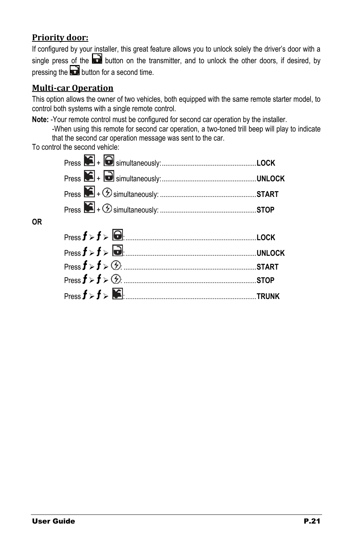#### <span id="page-20-0"></span>**Priority door:**

If configured by your installer, this great feature allows you to unlock solely the driver's door with a single press of the  $\Box$  button on the transmitter, and to unlock the other doors, if desired, by pressing the  $\blacksquare$  button for a second time.

#### <span id="page-20-1"></span>**Multi-car Operation**

This option allows the owner of two vehicles, both equipped with the same remote starter model, to control both systems with a single remote control.

**Note:** -Your remote control must be configured for second car operation by the installer.

-When using this remote for second car operation, a two-toned trill beep will play to indicate that the second car operation message was sent to the car.

To control the second vehicle:

**OR**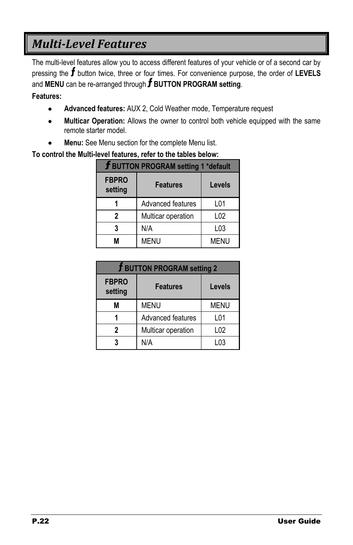## <span id="page-21-0"></span>*Multi-Level Features*

The multi-level features allow you to access different features of your vehicle or of a second car by pressing the **f** button twice, three or four times. For convenience purpose, the order of LEVELS and **MENU** can be re-arranged through **BUTTON PROGRAM setting**.

#### **Features:**

- **Advanced features:** AUX 2, Cold Weather mode, Temperature request
- **Multicar Operation:** Allows the owner to control both vehicle equipped with the same remote starter model.
- **Menu:** See Menu section for the complete Menu list.

#### **To control the Multi-level features, refer to the tables below:**

| <b>f BUTTON PROGRAM setting 1 *default</b> |                    |                  |
|--------------------------------------------|--------------------|------------------|
| <b>FBPRO</b><br>setting                    | <b>Features</b>    | Levels           |
| 1                                          | Advanced features  | L01              |
| 2                                          | Multicar operation | L02              |
| 3                                          | N/A                | L <sub>0</sub> 3 |
| М                                          | <b>MENU</b>        | <b>MENU</b>      |

| <b>J BUTTON PROGRAM setting 2</b> |                    |             |
|-----------------------------------|--------------------|-------------|
| <b>FBPRO</b><br>setting           | <b>Features</b>    | Levels      |
| M                                 | <b>MENU</b>        | <b>MENU</b> |
|                                   | Advanced features  | L01         |
| 2                                 | Multicar operation | L02         |
| 3                                 | N/A                | l 03        |